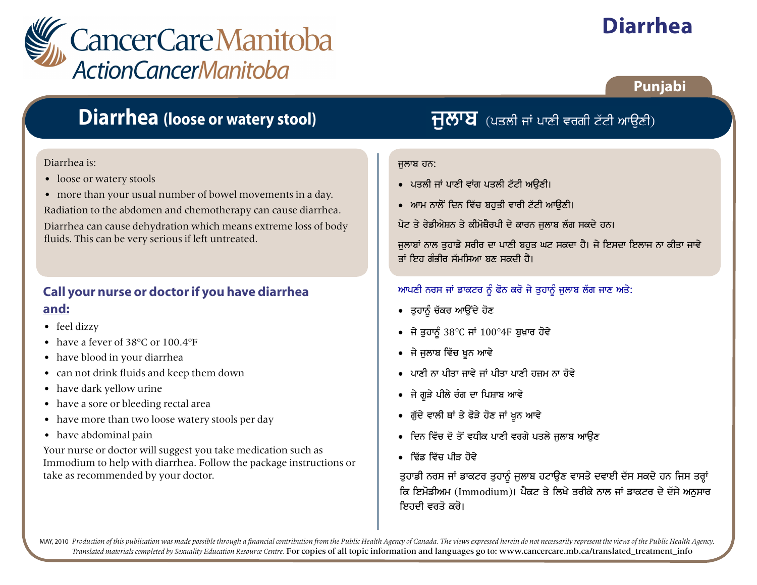

# **Diarrhea**

## **Punjabi**

## **Diarrhea (loose or watery stool)**

#### Diarrhea is:

- loose or watery stools
- more than your usual number of bowel movements in a day.

Radiation to the abdomen and chemotherapy can cause diarrhea.

Diarrhea can cause dehydration which means extreme loss of body fluids. This can be very serious if left untreated.

### **Call your nurse or doctor if you have diarrhea and:**

- feel dizzy
- have a fever of 38°C or 100.4°F
- have blood in your diarrhea
- can not drink fluids and keep them down
- have dark yellow urine
- have a sore or bleeding rectal area
- have more than two loose watery stools per day
- have abdominal pain

Your nurse or doctor will suggest you take medication such as Immodium to help with diarrhea. Follow the package instructions or take as recommended by your doctor.  $|$  is guhannover duhy factor and intervals and intervals are defined as recommended by your doctor.

## $\overline{H}$ ੱ $\overline{V}$  (ਪਤਲੀ ਜਾਂ ਪਾਣੀ ਵਰਗੀ ਟੱਟੀ ਆਉਣੀ)

#### ਜਲਾਬ ਹਨ:

- ਪਤਲੀ ਜਾਂ ਪਾਣੀ ਵਾਂਗ ਪਤਲੀ ਟੱਟੀ ਅੳਣੀ।
- ਆਮ ਨਾਲੋਂ ਦਿਨ ਵਿੱਚ ਬਹੁਤੀ ਵਾਰੀ ਟੱਟੀ ਆਉਣੀ।

ਪੇਟ ਤੇ ਰੇਡੀਐਸ਼ਨ ਤੇ ਕੀਮੋਥੈਰਪੀ ਦੇ ਕਾਰਨ ਜਲਾਬ ਲੱਗ ਸਕਦੇ ਹਨ।

ਜਲਾਬਾਂ ਨਾਲ ਤਹਾਡੇ ਸਰੀਰ ਦਾ ਪਾਣੀ ਬਹਤ ਘਟ ਸਕਦਾ ਹੈ। ਜੇ ਇਸਦਾ ਇਲਾਜ ਨਾ ਕੀਤਾ ਜਾਵੇ ਤਾਂ ਇਹ ਗੰਭੀਰ ਸੱਮਸਿਆ ਬਣ ਸਕਦੀ ਹੈ।

### <u>ਆਪਣੀ ਨਰਸ ਜਾਂ ਡਾਕਟਰ ਨੂੰ ਫੋਨ ਕਰੋ ਜੇ ਤੁਹਾਨੂੰ ਜੁਲਾਬ ਲੱਗ ਜਾਣ ਅਤੇ:</u>

- ਤਹਾਨੰ ਚੱਕਰ ਆੳਂਦੇ ਹੋਣ
- ਜੇ ਤਹਾਨੰ 38  $C$  ਜਾਂ 100 4F ਬਖ਼ਾਰ ਹੋਵੇ
- ਜੇ ਜੁਲਾਬ ਵਿੱਚ ਖੁਨ ਆਵੇ
- $\bullet$  ਪਾਣੀ ਨਾ ਪੀਤਾ ਜਾਵੇ ਜਾਂ ਪੀਤਾ ਪਾਣੀ ਹਜ਼ਮ ਨਾ ਹੋਵੇ
- ਜੇ ਗੁੜੇ ਪੀਲੇ ਰੰਗ ਦਾ ਪਿਸ਼ਾਬ ਆਵੇ
- ਗੱਦੇ ਵਾਲੀ ਥਾਂ ਤੇ ਫੋੜੇ ਹੋਣ ਜਾਂ ਖੁਨ ਆਵੇ
- ਦਿਨ ਵਿੱਚ ਦੋ ਤੋਂ ਵਧੀਕ ਪਾਣੀ ਵਰਗੇ ਪਤਲੇ ਜਲਾਬ ਆੳਣ
- ਦਿੱਤ ਵਿੱਚ ਪੀਤ ਹੋਵੇ

ਕਿ ਇਮੋਡੀਅਮ (Immodium)। ਪੈਕਟ ਤੇ ਲਿਖੇ ਤਰੀਕੇ ਨਾਲ ਜਾਂ ਡਾਕਟਰ ਦੇ ਦੱਸੇ ਅਨਸਾਰ ਇਹਦੀ ਵਰਤੋ ਕਰੋ।

MAY, 2010 Production of this publication was made possible through a financial contribution from the Public Health Agency of Canada. The views expressed herein do not necessarily represent the views of the Public Health Ag Translated materials completed by Sexuality Education Resource Centre. For copies of all topic information and languages go to: www.cancercare.mb.ca/translated\_treatment\_info